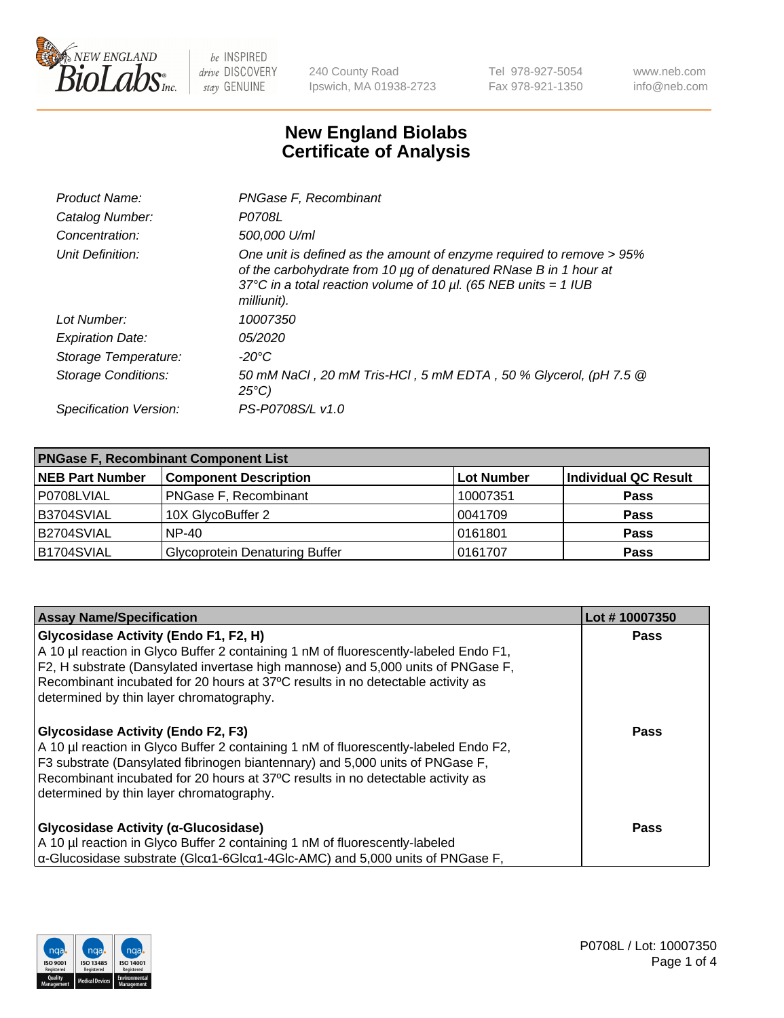

240 County Road Ipswich, MA 01938-2723 Tel 978-927-5054 Fax 978-921-1350 www.neb.com info@neb.com

## **New England Biolabs Certificate of Analysis**

| Product Name:              | PNGase F, Recombinant                                                                                                                                                                                                           |
|----------------------------|---------------------------------------------------------------------------------------------------------------------------------------------------------------------------------------------------------------------------------|
| Catalog Number:            | P0708L                                                                                                                                                                                                                          |
| Concentration:             | 500,000 U/ml                                                                                                                                                                                                                    |
| Unit Definition:           | One unit is defined as the amount of enzyme required to remove > 95%<br>of the carbohydrate from 10 µg of denatured RNase B in 1 hour at<br>37°C in a total reaction volume of 10 $\mu$ l. (65 NEB units = 1 IUB<br>milliunit). |
| Lot Number:                | 10007350                                                                                                                                                                                                                        |
| <b>Expiration Date:</b>    | <i>05/2020</i>                                                                                                                                                                                                                  |
| Storage Temperature:       | -20°C                                                                                                                                                                                                                           |
| <b>Storage Conditions:</b> | 50 mM NaCl, 20 mM Tris-HCl, 5 mM EDTA, 50 % Glycerol, (pH 7.5 @<br>$25^{\circ}C$                                                                                                                                                |
| Specification Version:     | PS-P0708S/L v1.0                                                                                                                                                                                                                |

| <b>PNGase F, Recombinant Component List</b> |                                       |            |                      |  |
|---------------------------------------------|---------------------------------------|------------|----------------------|--|
| <b>NEB Part Number</b>                      | <b>Component Description</b>          | Lot Number | Individual QC Result |  |
| P0708LVIAL                                  | <b>PNGase F, Recombinant</b>          | 10007351   | <b>Pass</b>          |  |
| B3704SVIAL                                  | 10X GlycoBuffer 2                     | 0041709    | Pass                 |  |
| B2704SVIAL                                  | $NP-40$                               | 0161801    | <b>Pass</b>          |  |
| B1704SVIAL                                  | <b>Glycoprotein Denaturing Buffer</b> | 0161707    | <b>Pass</b>          |  |

| <b>Assay Name/Specification</b>                                                                                                                                                                                                                                                                                                                   | Lot #10007350 |
|---------------------------------------------------------------------------------------------------------------------------------------------------------------------------------------------------------------------------------------------------------------------------------------------------------------------------------------------------|---------------|
| Glycosidase Activity (Endo F1, F2, H)<br>A 10 µl reaction in Glyco Buffer 2 containing 1 nM of fluorescently-labeled Endo F1,<br>F2, H substrate (Dansylated invertase high mannose) and 5,000 units of PNGase F,<br>Recombinant incubated for 20 hours at 37°C results in no detectable activity as<br>determined by thin layer chromatography.  | Pass          |
| <b>Glycosidase Activity (Endo F2, F3)</b><br>A 10 µl reaction in Glyco Buffer 2 containing 1 nM of fluorescently-labeled Endo F2,<br>F3 substrate (Dansylated fibrinogen biantennary) and 5,000 units of PNGase F,<br>Recombinant incubated for 20 hours at 37°C results in no detectable activity as<br>determined by thin layer chromatography. | <b>Pass</b>   |
| Glycosidase Activity (α-Glucosidase)<br>A 10 µl reaction in Glyco Buffer 2 containing 1 nM of fluorescently-labeled<br>$\alpha$ -Glucosidase substrate (Glc $\alpha$ 1-6Glc $\alpha$ 1-4Glc-AMC) and 5,000 units of PNGase F,                                                                                                                     | <b>Pass</b>   |

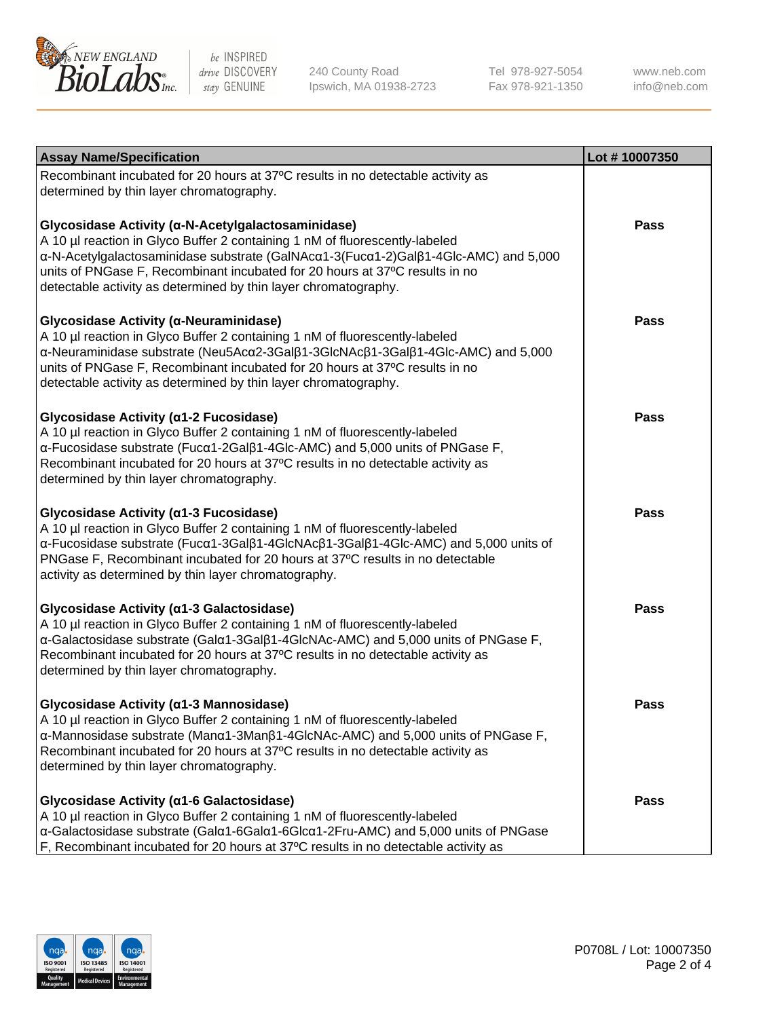

240 County Road Ipswich, MA 01938-2723 Tel 978-927-5054 Fax 978-921-1350

www.neb.com info@neb.com

| <b>Assay Name/Specification</b>                                                                                                                                                                                                                                                                                                                                            | Lot #10007350 |
|----------------------------------------------------------------------------------------------------------------------------------------------------------------------------------------------------------------------------------------------------------------------------------------------------------------------------------------------------------------------------|---------------|
| Recombinant incubated for 20 hours at 37°C results in no detectable activity as<br>determined by thin layer chromatography.                                                                                                                                                                                                                                                |               |
| Glycosidase Activity (α-N-Acetylgalactosaminidase)<br>A 10 µl reaction in Glyco Buffer 2 containing 1 nM of fluorescently-labeled<br>α-N-Acetylgalactosaminidase substrate (GalNAcα1-3(Fucα1-2)Galβ1-4Glc-AMC) and 5,000<br>units of PNGase F, Recombinant incubated for 20 hours at 37°C results in no<br>detectable activity as determined by thin layer chromatography. | <b>Pass</b>   |
| Glycosidase Activity (α-Neuraminidase)<br>A 10 µl reaction in Glyco Buffer 2 containing 1 nM of fluorescently-labeled<br>α-Neuraminidase substrate (Neu5Acα2-3Galβ1-3GlcNAcβ1-3Galβ1-4Glc-AMC) and 5,000<br>units of PNGase F, Recombinant incubated for 20 hours at 37°C results in no<br>detectable activity as determined by thin layer chromatography.                 | Pass          |
| Glycosidase Activity (a1-2 Fucosidase)<br>A 10 µl reaction in Glyco Buffer 2 containing 1 nM of fluorescently-labeled<br>α-Fucosidase substrate (Fucα1-2Galβ1-4Glc-AMC) and 5,000 units of PNGase F,<br>Recombinant incubated for 20 hours at 37°C results in no detectable activity as<br>determined by thin layer chromatography.                                        | Pass          |
| Glycosidase Activity (a1-3 Fucosidase)<br>A 10 µl reaction in Glyco Buffer 2 containing 1 nM of fluorescently-labeled<br>α-Fucosidase substrate (Fucα1-3Galβ1-4GlcNAcβ1-3Galβ1-4Glc-AMC) and 5,000 units of<br>PNGase F, Recombinant incubated for 20 hours at 37°C results in no detectable<br>activity as determined by thin layer chromatography.                       | <b>Pass</b>   |
| Glycosidase Activity (a1-3 Galactosidase)<br>A 10 µl reaction in Glyco Buffer 2 containing 1 nM of fluorescently-labeled<br>α-Galactosidase substrate (Galα1-3Galβ1-4GlcNAc-AMC) and 5,000 units of PNGase F,<br>Recombinant incubated for 20 hours at 37°C results in no detectable activity as<br>determined by thin layer chromatography.                               | <b>Pass</b>   |
| Glycosidase Activity (α1-3 Mannosidase)<br>A 10 µl reaction in Glyco Buffer 2 containing 1 nM of fluorescently-labeled<br>$\alpha$ -Mannosidase substrate (Man $\alpha$ 1-3Man $\beta$ 1-4GlcNAc-AMC) and 5,000 units of PNGase F,<br>Recombinant incubated for 20 hours at 37°C results in no detectable activity as<br>determined by thin layer chromatography.          | Pass          |
| Glycosidase Activity (a1-6 Galactosidase)<br>A 10 µl reaction in Glyco Buffer 2 containing 1 nM of fluorescently-labeled<br>α-Galactosidase substrate (Galα1-6Galα1-6Glcα1-2Fru-AMC) and 5,000 units of PNGase<br>F, Recombinant incubated for 20 hours at 37°C results in no detectable activity as                                                                       | Pass          |

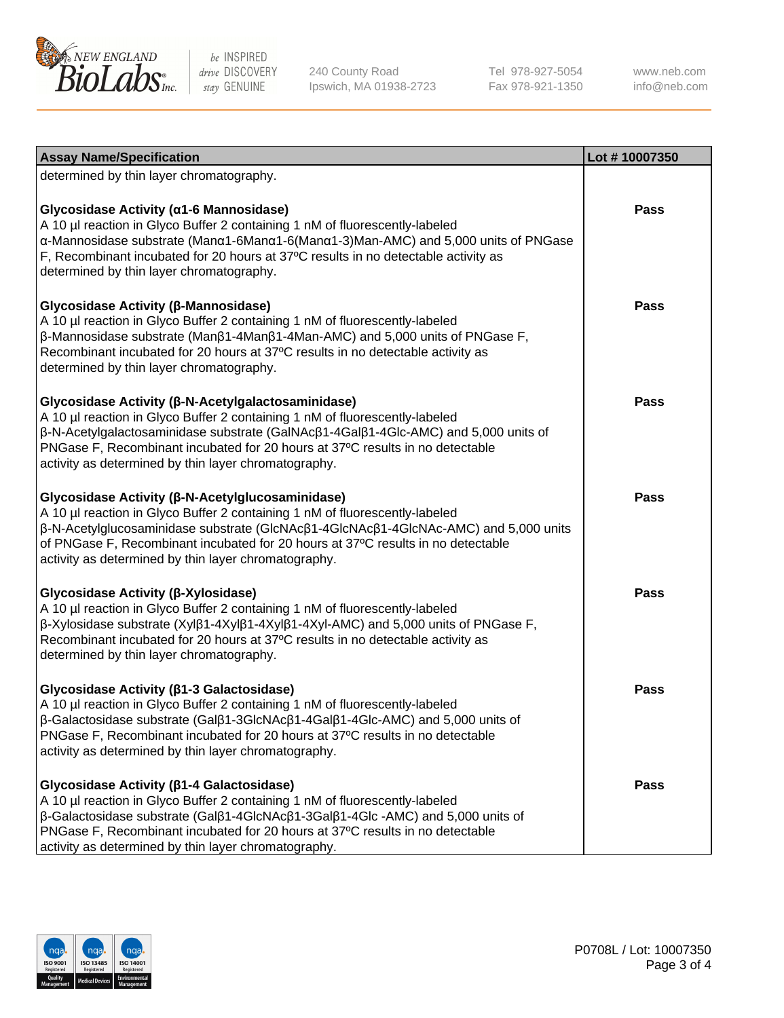

240 County Road Ipswich, MA 01938-2723 Tel 978-927-5054 Fax 978-921-1350

www.neb.com info@neb.com

| <b>Assay Name/Specification</b>                                                                                                                                                                                                                                                                                                                                     | Lot #10007350 |
|---------------------------------------------------------------------------------------------------------------------------------------------------------------------------------------------------------------------------------------------------------------------------------------------------------------------------------------------------------------------|---------------|
| determined by thin layer chromatography.                                                                                                                                                                                                                                                                                                                            |               |
| Glycosidase Activity (α1-6 Mannosidase)<br>A 10 µl reaction in Glyco Buffer 2 containing 1 nM of fluorescently-labeled<br>α-Mannosidase substrate (Manα1-6Manα1-6(Manα1-3)Man-AMC) and 5,000 units of PNGase<br>F, Recombinant incubated for 20 hours at 37°C results in no detectable activity as<br>determined by thin layer chromatography.                      | Pass          |
| Glycosidase Activity (β-Mannosidase)<br>A 10 µl reaction in Glyco Buffer 2 containing 1 nM of fluorescently-labeled<br>$\beta$ -Mannosidase substrate (Man $\beta$ 1-4Man $\beta$ 1-4Man-AMC) and 5,000 units of PNGase F,<br>Recombinant incubated for 20 hours at 37°C results in no detectable activity as<br>determined by thin layer chromatography.           | Pass          |
| Glycosidase Activity (β-N-Acetylgalactosaminidase)<br>A 10 µl reaction in Glyco Buffer 2 containing 1 nM of fluorescently-labeled<br>β-N-Acetylgalactosaminidase substrate (GalNAcβ1-4Galβ1-4Glc-AMC) and 5,000 units of<br>PNGase F, Recombinant incubated for 20 hours at 37°C results in no detectable<br>activity as determined by thin layer chromatography.   | Pass          |
| Glycosidase Activity (β-N-Acetylglucosaminidase)<br>A 10 µl reaction in Glyco Buffer 2 containing 1 nM of fluorescently-labeled<br>β-N-Acetylglucosaminidase substrate (GlcNAcβ1-4GlcNAcβ1-4GlcNAc-AMC) and 5,000 units<br>of PNGase F, Recombinant incubated for 20 hours at 37°C results in no detectable<br>activity as determined by thin layer chromatography. | Pass          |
| Glycosidase Activity (β-Xylosidase)<br>A 10 µl reaction in Glyco Buffer 2 containing 1 nM of fluorescently-labeled<br>β-Xylosidase substrate (Xylβ1-4Xylβ1-4Xylβ1-4Xyl-AMC) and 5,000 units of PNGase F,<br>Recombinant incubated for 20 hours at 37°C results in no detectable activity as<br>determined by thin layer chromatography.                             | <b>Pass</b>   |
| Glycosidase Activity ( $\beta$ 1-3 Galactosidase)<br>A 10 µl reaction in Glyco Buffer 2 containing 1 nM of fluorescently-labeled<br>β-Galactosidase substrate (Galβ1-3GlcNAcβ1-4Galβ1-4Glc-AMC) and 5,000 units of<br>PNGase F, Recombinant incubated for 20 hours at 37°C results in no detectable<br>activity as determined by thin layer chromatography.         | <b>Pass</b>   |
| Glycosidase Activity (β1-4 Galactosidase)<br>A 10 µl reaction in Glyco Buffer 2 containing 1 nM of fluorescently-labeled<br>β-Galactosidase substrate (Galβ1-4GlcNAcβ1-3Galβ1-4Glc -AMC) and 5,000 units of<br>PNGase F, Recombinant incubated for 20 hours at 37°C results in no detectable<br>activity as determined by thin layer chromatography.                | <b>Pass</b>   |